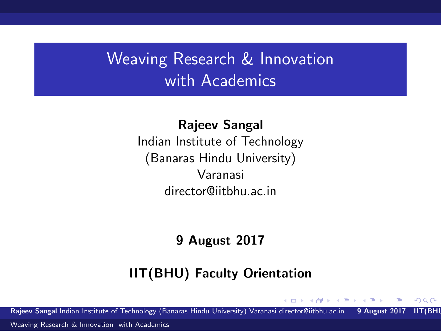## Weaving Research & Innovation with Academics

Rajeev Sangal Indian Institute of Technology (Banaras Hindu University) Varanasi director@iitbhu.ac.in

#### 9 August 2017

#### IIT(BHU) Faculty Orientation

Rajeev Sangal Indian Institute of Technology (Banaras Hindu University) Varanasi director@iitbhu.ac.in 9 August 2017 IIT(BHU)

<span id="page-0-0"></span> $QQ$ 

∢ 何 ▶ 《 手 》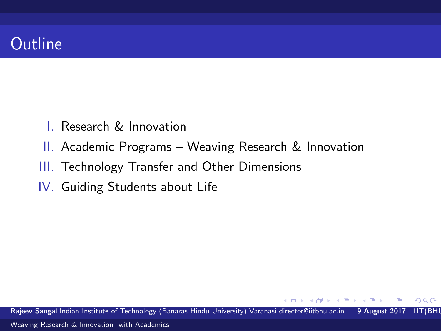

- I. Research & Innovation
- II. Academic Programs Weaving Research & Innovation
- III. Technology Transfer and Other Dimensions
- IV. Guiding Students about Life

Rajeev Sangal Indian Institute of Technology (Banaras Hindu University) Varanasi director@iitbhu.ac.in 9 August 2017 IIT(BHI

母→ ∢∃→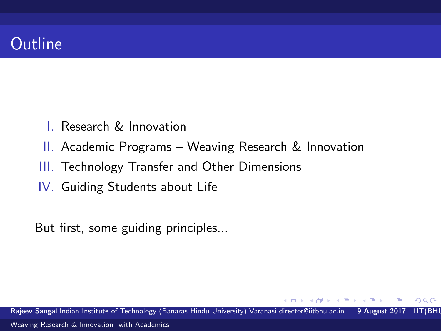

- I. Research & Innovation
- II. Academic Programs Weaving Research & Innovation
- III. Technology Transfer and Other Dimensions
- IV. Guiding Students about Life

But first, some guiding principles...

Rajeev Sangal Indian Institute of Technology (Banaras Hindu University) Varanasi director@iitbhu.ac.in 9 August 2017 IIT(BHI [Weaving Research & Innovation with Academics](#page-0-0)

A + + = +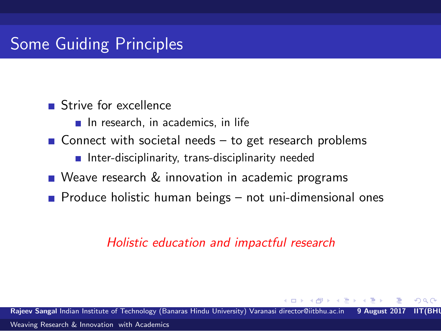Strive for excellence

- $\blacksquare$  In research, in academics, in life
- Gonnect with societal needs  $-$  to get research problems
	- $\blacksquare$  Inter-disciplinarity, trans-disciplinarity needed
- Weave research & innovation in academic programs
- **Produce holistic human beings not uni-dimensional ones**

#### *Holistic education and impactful research*

Rajeev Sangal Indian Institute of Technology (Banaras Hindu University) Varanasi director@iitbhu.ac.in 9 August 20 [Weaving Research & Innovation with Academics](#page-0-0)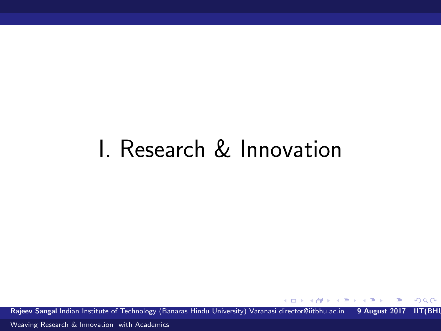## I. Research & Innovation

Rajeev Sangal Indian Institute of Technology (Banaras Hindu University) Varanasi director@iitbhu.ac.in 9 August 2017 IIT(BHI

 $\leftarrow$ 

 $\rightarrow$   $\rightarrow$   $\rightarrow$ 

 $299$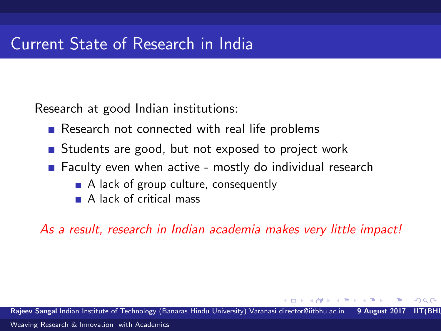Research at good Indian institutions:

- Research not connected with real life problems
- Students are good, but not exposed to project work
- Faculty even when active mostly do individual research
	- A lack of group culture, consequently
	- A lack of critical mass

*As a result, research in Indian academia makes very little impact!*

Rajeev Sangal Indian Institute of Technology (Banaras Hindu University) Varanasi director@iitbhu.ac.in [Weaving Research & Innovation with Academics](#page-0-0)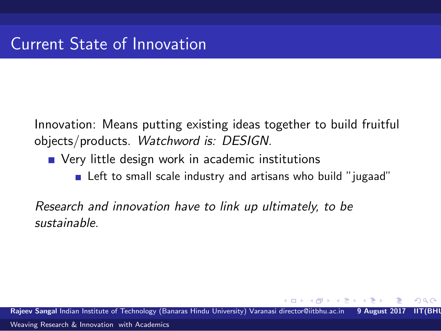Innovation: Means putting existing ideas together to build fruitful objects/products. *Watchword is: DESIGN.*

- **Notainally Very little design work in academic institutions** 
	- Left to small scale industry and artisans who build "jugaad"

*Research and innovation have to link up ultimately, to be sustainable.*

Raieev Sangal Indian Institute of Technology (Banaras Hindu University) Varanasi director@iitbhu.ac.in 9 August [Weaving Research & Innovation with Academics](#page-0-0)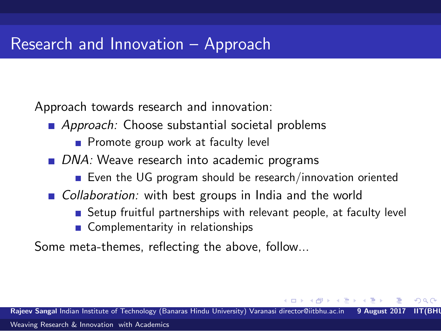Approach towards research and innovation:

- **Approach:** Choose substantial societal problems
	- Promote group work at faculty level
- *DNA:* Weave research into academic programs
	- Even the UG program should be research/innovation oriented
- *Collaboration:* with best groups in India and the world
	- Setup fruitful partnerships with relevant people, at faculty level

 $\Omega$ 

■ Complementarity in relationships

Some meta-themes, reflecting the above, follow...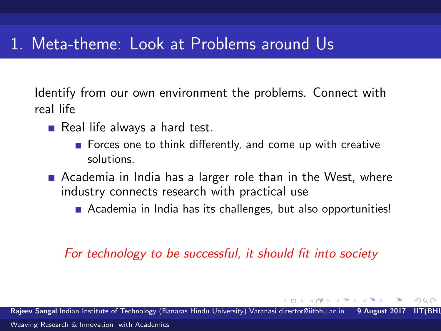#### 1. Meta-theme: Look at Problems around Us

Identify from our own environment the problems. Connect with real life

- $\blacksquare$  Real life always a hard test.
	- Forces one to think differently, and come up with creative solutions.
- **E** Academia in India has a larger role than in the West, where industry connects research with practical use
	- Academia in India has its challenges, but also opportunities!

#### *For technology to be successful, it should fit into society*

つへへ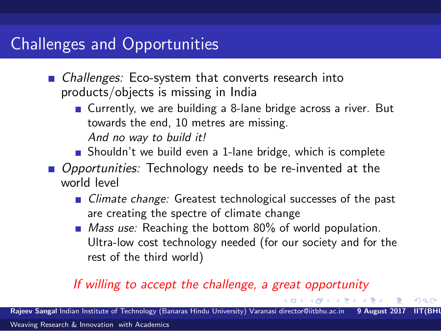### Challenges and Opportunities

- *Challenges:* Eco-system that converts research into products/objects is missing in India
	- Currently, we are building a 8-lane bridge across a river. But towards the end, 10 metres are missing. *And no way to build it!*
	- Shouldn't we build even a 1-lane bridge, which is complete
- *Opportunities:* Technology needs to be re-invented at the world level
	- *Climate change:* Greatest technological successes of the past are creating the spectre of climate change
	- *Mass use:* Reaching the bottom 80% of world population. Ultra-low cost technology needed (for our society and for the rest of the third world)

 $\Omega$ 

#### *If willing to accept the challenge, a great opportunity*

Rajeev Sangal Indian Institute of Technology (Banaras Hindu University) Varanasi director@iitbhu.ac.in 9 August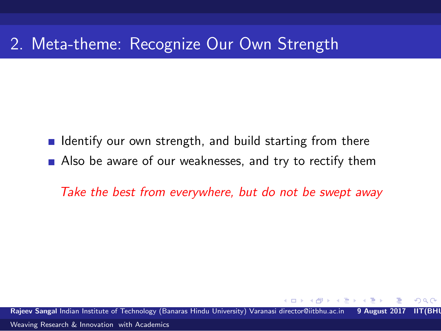### 2. Meta-theme: Recognize Our Own Strength

I Identify our own strength, and build starting from there Also be aware of our weaknesses, and try to rectify them

*Take the best from everywhere, but do not be swept away*

Rajeev Sangal Indian Institute of Technology (Banaras Hindu University) Varanasi director@iitbhu.ac.in 9 August 2017 IIT(BHU) [Weaving Research & Innovation with Academics](#page-0-0)

つへへ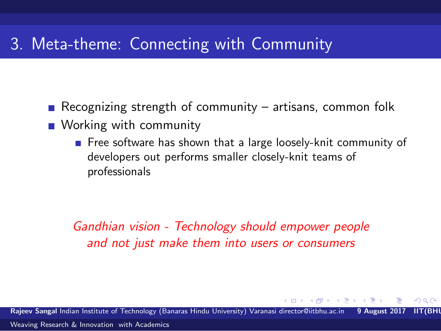### 3. Meta-theme: Connecting with Community

- Recognizing strength of community artisans, common folk
- **Working with community** 
	- Free software has shown that a large loosely-knit community of developers out performs smaller closely-knit teams of professionals

*Gandhian vision - Technology should empower people and not just make them into users or consumers*

Raieev Sangal Indian Institute of Technology (Banaras Hindu University) Varanasi director@iitbhu.ac.in 9 August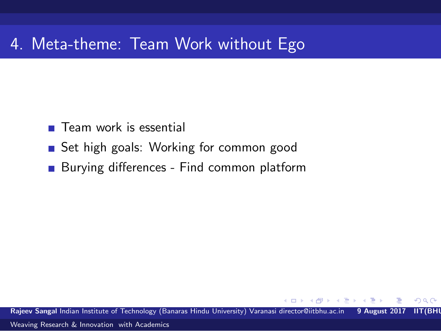### 4. Meta-theme: Team Work without Ego

- **Team work is essential**
- Set high goals: Working for common good
- **Burying differences Find common platform**

Rajeev Sangal Indian Institute of Technology (Banaras Hindu University) Varanasi director@iitbhu.ac.in 9 August 2017 IIT(BHI

**ALC: N** 

 $\Omega$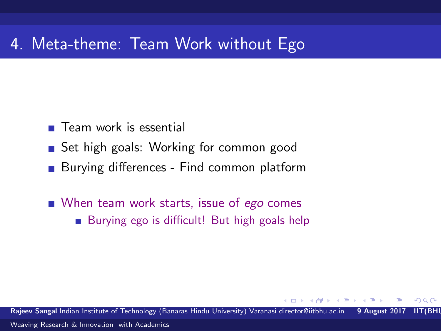#### 4. Meta-theme: Team Work without Ego

- **Team work is essential**
- Set high goals: Working for common good
- **Burying differences Find common platform**
- When team work starts, issue of *ego* comes
	- Burying ego is difficult! But high goals help

Rajeev Sangal Indian Institute of Technology (Banaras Hindu University) Varanasi director@iitbhu.ac.in 9 August 2017 IIT(BHU)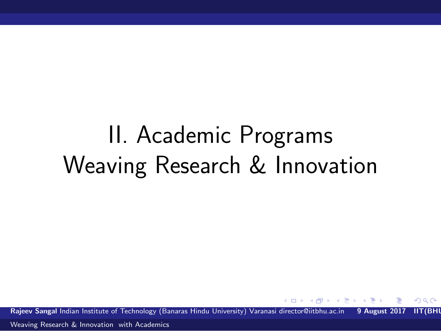# II. Academic Programs Weaving Research & Innovation

Rajeev Sangal Indian Institute of Technology (Banaras Hindu University) Varanasi director@iitbhu.ac.in 9 August 2017 IIT(BHI

<span id="page-14-0"></span> $\Omega$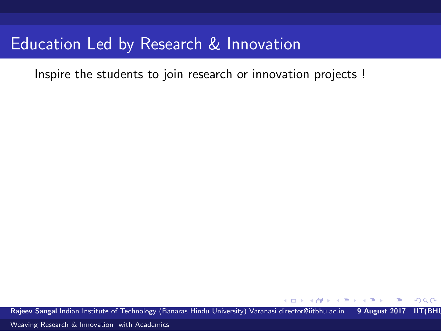Inspire the students to join research or innovation projects !

Rajeev Sangal Indian Institute of Technology (Banaras Hindu University) Varanasi director@iitbhu.ac.in 9 August 2017 IIT(BHI

<span id="page-15-0"></span> $\Omega$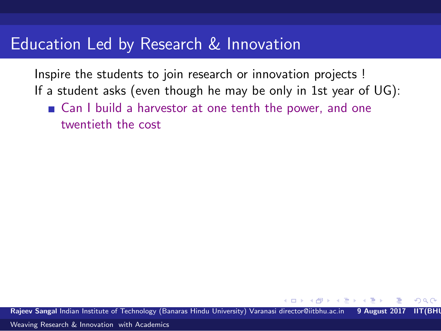Inspire the students to join research or innovation projects ! If a student asks (even though he may be only in 1st year of UG):

■ Can I build a harvestor at one tenth the power, and one twentieth the cost

Raieev Sangal Indian Institute of Technology (Banaras Hindu University) Varanasi director@iitbhu.ac.in 9 August 20

റെ ര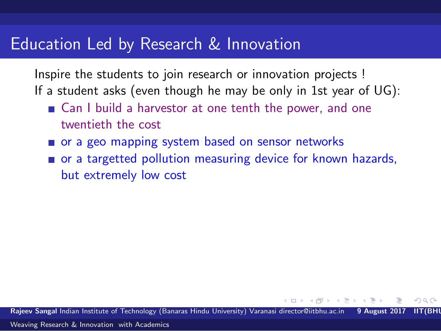Inspire the students to join research or innovation projects ! If a student asks (even though he may be only in 1st year of UG):

- Can I build a harvestor at one tenth the power, and one twentieth the cost
- or a geo mapping system based on sensor networks
- or a targetted pollution measuring device for known hazards, but extremely low cost

Rajeev Sangal Indian Institute of Technology (Banaras Hindu University) Varanasi director@iitbhu.ac.in

റെ ര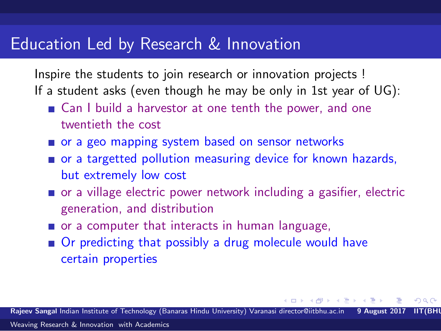Inspire the students to join research or innovation projects ! If a student asks (even though he may be only in 1st year of UG):

- Can I build a harvestor at one tenth the power, and one twentieth the cost
- or a geo mapping system based on sensor networks
- or a targetted pollution measuring device for known hazards, but extremely low cost
- or a village electric power network including a gasifier, electric generation, and distribution
- or a computer that interacts in human language,
- Or predicting that possibly a drug molecule would have certain properties

Rajeev Sangal Indian Institute of Technology (Banaras Hindu University) Varanasi director@iitbhu.ac.in [Weaving Research & Innovation with Academics](#page-0-0)

<span id="page-18-0"></span>9 D D D D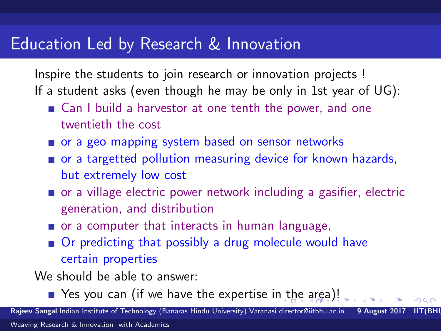Inspire the students to join research or innovation projects ! If a student asks (even though he may be only in 1st year of UG):

- Can I build a harvestor at one tenth the power, and one twentieth the cost
- or a geo mapping system based on sensor networks
- or a targetted pollution measuring device for known hazards, but extremely low cost
- or a village electric power network including a gasifier, electric generation, and distribution
- or a computer that interacts in human language,
- Or predicting that possibly a drug molecule would have certain properties

We should be able to answer:

<span id="page-19-0"></span>■ Yes you can (if we have the expertise i[n t](#page-18-0)h[e](#page-19-0) [a](#page-14-0)[r](#page-15-0)e[a](#page-20-0)[\)!](#page-0-0)

Raieev Sangal Indian Institute of Technology (Banaras Hindu University) Varanasi director@iitbhu.ac.in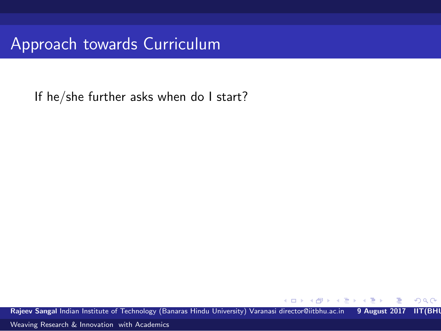Approach towards Curriculum

If he/she further asks when do I start?

Rajeev Sangal Indian Institute of Technology (Banaras Hindu University) Varanasi director@iitbhu.ac.in 9 August 2017 IIT(BHI

<span id="page-20-0"></span>つへへ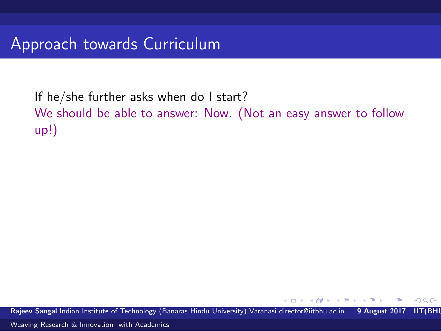If he/she further asks when do I start? We should be able to answer: Now. (Not an easy answer to follow up!)

Rajeev Sangal Indian Institute of Technology (Banaras Hindu University) Varanasi director@iitbhu.ac.in 9 August 2017 IIT(BHI

 $\Omega$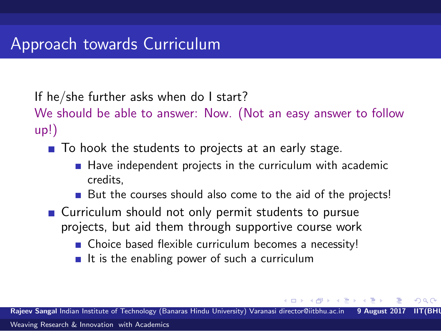If he/she further asks when do I start?

We should be able to answer: Now. (Not an easy answer to follow up!)

 $\blacksquare$  To hook the students to projects at an early stage.

- $\blacksquare$  Have independent projects in the curriculum with academic credits,
- But the courses should also come to the aid of the projects!
- Curriculum should not only permit students to pursue projects, but aid them through supportive course work
	- Choice based flexible curriculum becomes a necessity!
	- $\blacksquare$  It is the enabling power of such a curriculum

Rajeev Sangal Indian Institute of Technology (Banaras Hindu University) Varanasi director@iitbhu.ac.in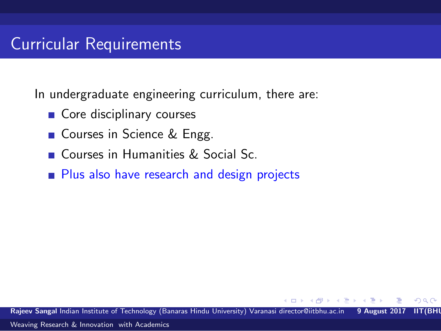### Curricular Requirements

In undergraduate engineering curriculum, there are:

- Core disciplinary courses
- Courses in Science & Engg.
- Courses in Humanities & Social Sc.
- **Plus also have research and design projects**

Rajeev Sangal Indian Institute of Technology (Banaras Hindu University) Varanasi director@iitbhu.ac.in 9 August 2017 IIT(BHU)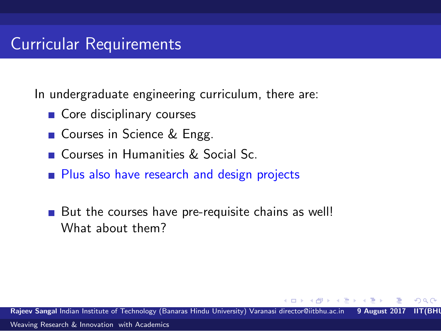#### Curricular Requirements

In undergraduate engineering curriculum, there are:

- Core disciplinary courses
- Courses in Science & Engg.
- Courses in Humanities & Social Sc.
- **Plus also have research and design projects**
- But the courses have pre-requisite chains as well! What about them?

Rajeev Sangal Indian Institute of Technology (Banaras Hindu University) Varanasi director@iitbhu.ac.in 9 August 20 [Weaving Research & Innovation with Academics](#page-0-0)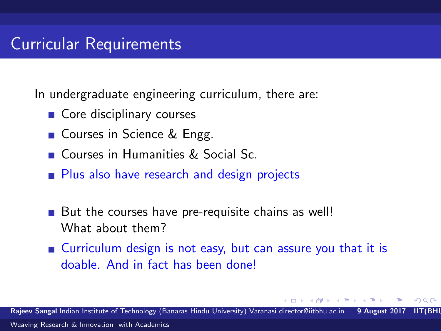#### Curricular Requirements

In undergraduate engineering curriculum, there are:

- Core disciplinary courses
- Courses in Science & Engg.
- Courses in Humanities & Social Sc.
- **Plus also have research and design projects**
- But the courses have pre-requisite chains as well! What about them?
- Curriculum design is not easy, but can assure you that it is doable. And in fact has been done!

Rajeev Sangal Indian Institute of Technology (Banaras Hindu University) Varanasi director@iitbhu.ac.in 9 August [Weaving Research & Innovation with Academics](#page-0-0)

റെ ര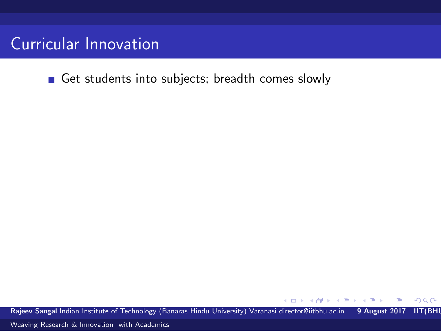Get students into subjects; breadth comes slowly

Rajeev Sangal Indian Institute of Technology (Banaras Hindu University) Varanasi director@iitbhu.ac.in 9 August 2017 IIT(BHI

 $\leftarrow$ 

E.

 $298$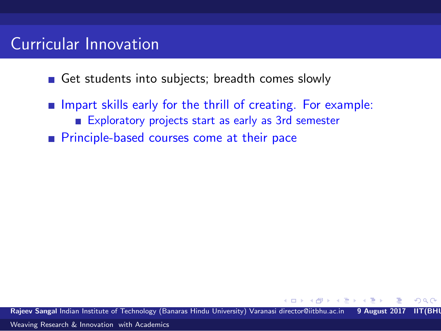- Get students into subjects; breadth comes slowly
- $\blacksquare$  Impart skills early for the thrill of creating. For example: Exploratory projects start as early as 3rd semester **Principle-based courses come at their pace**

Rajeev Sangal Indian Institute of Technology (Banaras Hindu University) Varanasi director@iitbhu.ac.in 9 August 2017 IIT(BHU)

 $\Omega$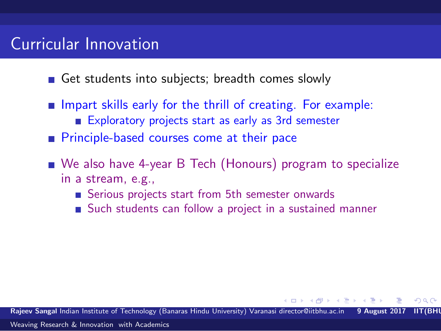- Get students into subjects; breadth comes slowly
- $\blacksquare$  Impart skills early for the thrill of creating. For example: Exploratory projects start as early as 3rd semester
- **Principle-based courses come at their pace**
- We also have 4-year B Tech (Honours) program to specialize in a stream, e.g.,
	- Serious projects start from 5th semester onwards
	- Such students can follow a project in a sustained manner

Rajeev Sangal Indian Institute of Technology (Banaras Hindu University) Varanasi director@iitbhu.ac.in 9 August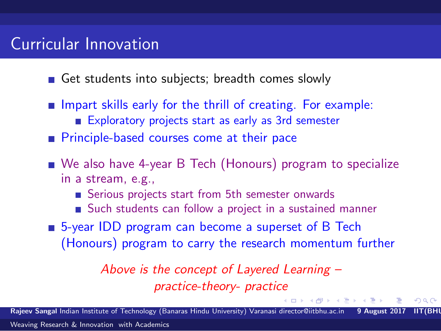- Get students into subjects; breadth comes slowly
- $\blacksquare$  Impart skills early for the thrill of creating. For example: Exploratory projects start as early as 3rd semester
- **Principle-based courses come at their pace**
- We also have 4-year B Tech (Honours) program to specialize in a stream, e.g.,
	- Serious projects start from 5th semester onwards
	- Such students can follow a project in a sustained manner
- 5-year IDD program can become a superset of B Tech (Honours) program to carry the research momentum further

*Above is the concept of Layered Learning – practice-theory- practice*

Rajeev Sangal Indian Institute of Technology (Banaras Hindu University) Varanasi director@iitbhu.ac.in 9 August

 $AB + AB +$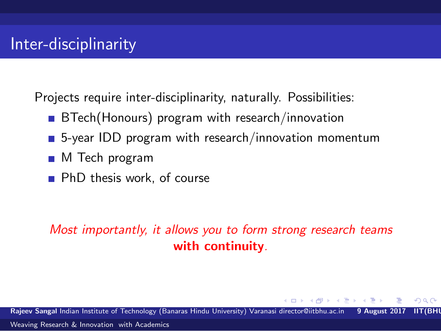Projects require inter-disciplinarity, naturally. Possibilities:

- BTech(Honours) program with research/innovation
- 5-year IDD program with research/innovation momentum
- M Tech program
- **PhD** thesis work, of course

#### *Most importantly, it allows you to form strong research teams* with continuity*.*

Rajeev Sangal Indian Institute of Technology (Banaras Hindu University) Varanasi director@iitbhu.ac.in 9 August 2017 IIT(BHU)

 $\Omega$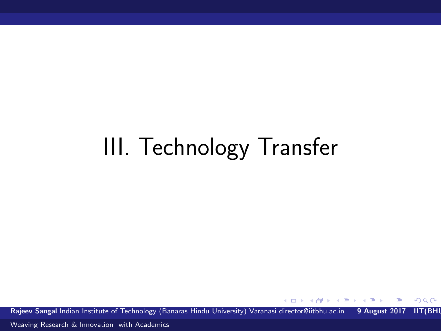# III. Technology Transfer

Rajeev Sangal Indian Institute of Technology (Banaras Hindu University) Varanasi director@iitbhu.ac.in 9 August 2017 IIT(BHI

4 D F

 $\left\{ \left\vert \left\langle \left\langle \left\langle \mathbf{q} \right\rangle \right\rangle \right\rangle \right\vert \left\langle \mathbf{q} \right\rangle \right\vert \left\langle \mathbf{q} \right\rangle \right\vert \left\langle \mathbf{q} \right\rangle \right\vert \left\langle \mathbf{q} \right\rangle \left\langle \mathbf{q} \right\rangle \right\vert$ 

 $\Omega$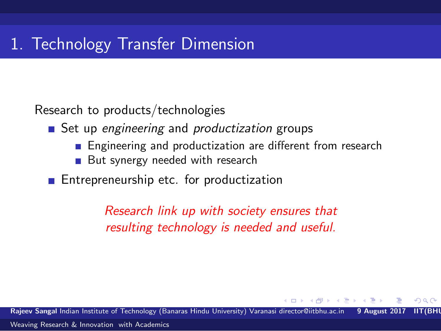Research to products/technologies

Set up *engineering* and *productization* groups

- **Engineering and productization are different from research**
- But synergy needed with research
- **Entrepreneurship etc. for productization**

*Research link up with society ensures that resulting technology is needed and useful.*

Raieev Sangal Indian Institute of Technology (Banaras Hindu University) Varanasi director@iitbhu.ac.in 9 August [Weaving Research & Innovation with Academics](#page-0-0)

റെ ര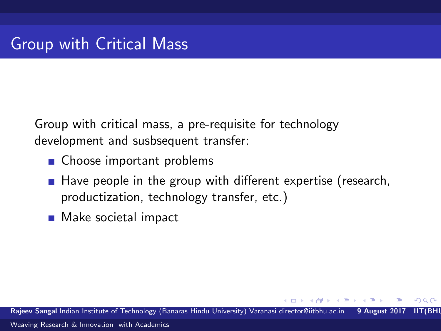Group with critical mass, a pre-requisite for technology development and susbsequent transfer:

- Choose important problems
- $\blacksquare$  Have people in the group with different expertise (research, productization, technology transfer, etc.)
- Make societal impact

Rajeev Sangal Indian Institute of Technology (Banaras Hindu University) Varanasi director@iitbhu.ac.in 9 August 2017 IIT(BHU) [Weaving Research & Innovation with Academics](#page-0-0)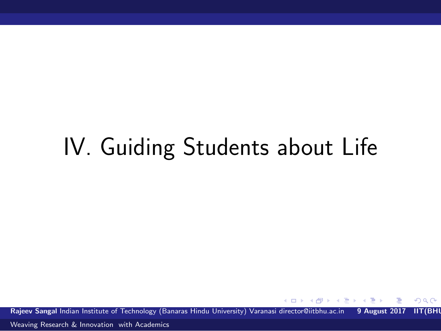## IV. Guiding Students about Life

Rajeev Sangal Indian Institute of Technology (Banaras Hindu University) Varanasi director@iitbhu.ac.in 9 August 2017 IIT(BHI

**ALC: N** 

 $\Omega$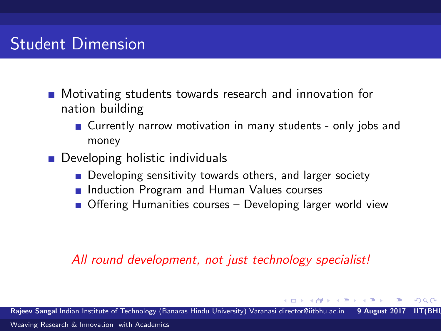## Student Dimension

- **Notivating students towards research and innovation for** nation building
	- Currently narrow motivation in many students only jobs and money
- **Developing holistic individuals** 
	- **Developing sensitivity towards others, and larger society**
	- **Induction Program and Human Values courses**
	- Offering Humanities courses Developing larger world view

#### *All round development, not just technology specialist!*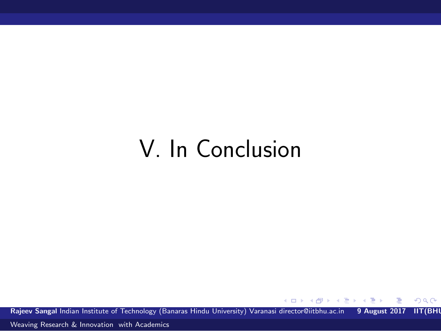## V. In Conclusion

Rajeev Sangal Indian Institute of Technology (Banaras Hindu University) Varanasi director@iitbhu.ac.in 9 August 2017 IIT(BHI

 $\left\{ \left\{ \bigoplus_{k=1}^{n} x_k \right\} \in \mathbb{R} \right\}$ 

4.0.3

 $299$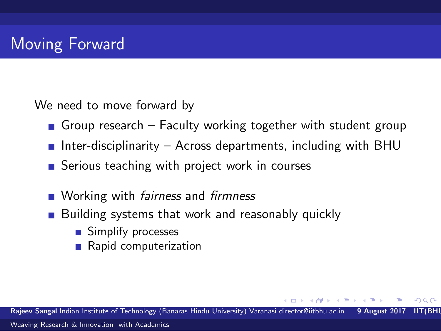We need to move forward by

- Group research Faculty working together with student group
- **Inter-disciplinarity Across departments, including with BHU**
- Serious teaching with project work in courses
- Working with *fairness* and *firmness*
- Building systems that work and reasonably quickly
	- Simplify processes
	- Rapid computerization

Rajeev Sangal Indian Institute of Technology (Banaras Hindu University) Varanasi director@iitbhu.ac.in 9 August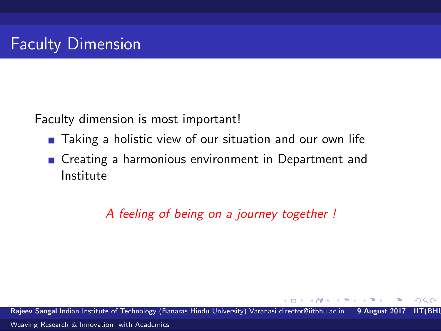Faculty dimension is most important!

- **Taking a holistic view of our situation and our own life**
- Creating a harmonious environment in Department and Institute

*A feeling of being on a journey together !*

Rajeev Sangal Indian Institute of Technology (Banaras Hindu University) Varanasi director@iitbhu.ac.in 9 August 2017 IIT(BHU)

<span id="page-38-0"></span> $\Omega$